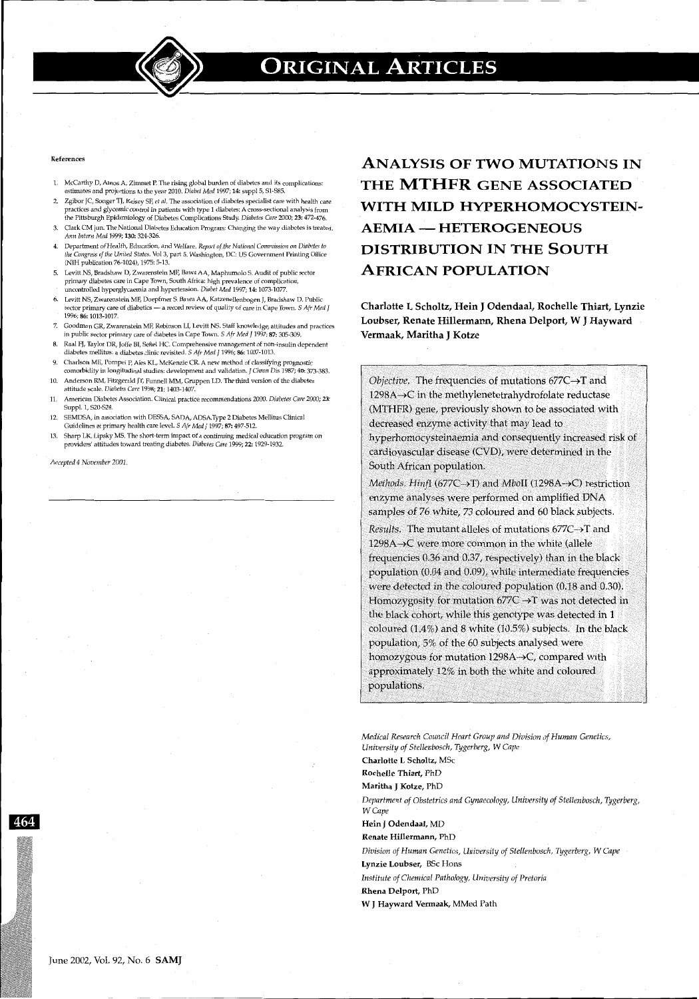

#### References

- 1. McCarthy D, Amos A, Zimmet P. The rising global burden of diabetes and its complications: estimates and projections to the year 2010. *Diabet Med* 1997; 14: suppl 5, Sl-585.
- 2. Zgibor JC, Songer TJ, Kelsey SF, et al. The association of diabetes specialist care with health care practices and glycemic control in patients with type 1 diabetes: A cross-sectional analysis from the Pittsburgh Epidemiology of Diabetes Complications Shtdy. *Diabetes Care* 2000; *23:* 472-476.
- 3. Clark CM jun. The National Diabetes Education Program: Changing the way diabetes is treated. *Ann Intern Med* 1999; 130: 324-326.
- 4. Department of Health, Educatlon, and WeJfare. *Report of\_ the National Commission on Diabetes to the Congress of the United States.* Vol 3, part 5. Washington, DC: US Government Printing Office (NIH publication 76-1024), 1975: 5-13.
- 5. Levitt NS, Bradshaw D, Zwarenstein MF, Bawa AA, Maphumolo S. Audit of public sector primary diabetes care in Cape Town, South Africa: high prevalence of complication, uncontrolled hyperglycaemia and hypertension. *Diabet Med* 1997; 14: 1073~1077.
- 6. Levitt NS, Zwarenstein MF, Doepfmer S, Bawa AA, Katzenellenbogen J, Bradshaw D. Public sector primary care of diabetics - a record review of quality of care in Cape Town. *S Afr Med I* 1996; 86: 1013-1017.
- 7. Goodman GR, Zwarenstein MF, Robinson LI, Levitt NS. Staff knowledge, attitudes and practices in public sector primary care of diabetes in Cape Town. S *Afr Med* J 1997; 87: 305-309.
- 8. Raal FJ, Taylor DR, Joffe Bl, Seftel HC. Comprehensive management of non-insulin dependent diabetes mellitus: a diabetes clinic revisited. S Afr *Med* J 1996; 86: 1007-1013.
- 9. Charlson ME, Pompei P, Ales KL, McKenzie CR. A new method of classifying prognostic comorbidity in longitudinal studies: development and validation. J *Chron Dis* 1987; 40: 373-383. 10. Anderson RM, Fitzgerald JT, Funnell MM, Gruppen LD. The third version of the diabetes
- attitude scale. *Diabetes Care* 1998; 21: 1403-1407. 11. American Diabetes Association. Clinical practice recommendations 2000. *Diabetes Care 2000; 23:*
- Suppl. 1, 520-524. 12. SEMDSA, in association with DESSA, SADA, ADSA.Type 2 Diabetes Mellitus Clinical
- Guidelines at primary health care level. S *Afr Med* J 1997; 87: 497-512.
- 13. Sharp LK, Lipsky MS. The short-term impact of a continuing medical education program on providers' attitudes toward treating diabetes. *Diabetes Care* 1999; 22: 1929-1932.

*Accepted 4 November* 2001.

ANALYSIS OF TWO MUTATIONS IN THE **MTHFR** GENE ASSOCIATED WITH MILD HYPERHOMOCYSTEIN-AEMIA - HETEROGENEOUS DISTRIBUTION IN THE SOUTH AFRICAN POPULATION

Charlotte L Scholtz, Hein J Odendaal, Rochelle Thiart, Lynzie Loubser, Renate Hillermann, Rhena Delport, W J Hayward Vermaak, Maritha J Kotze

*Objective.* The frequencies of mutations 677C→T and  $1298A \rightarrow C$  in the methylenetetrahydrofolate reductase (MTHFR) gene, previously shown to be associated with decreased enzyme activity that may lead to hyperhomocysteinaemia and consequently increased risk of cardiovascular disease (CVD), were determined in the South African population.

*Methods, Hinfl* (677C-+T) and *MbolI* (1298A-+C) restriction enzyme analyses were performed on amplified DNA samples of 76 white, 73 coloured and 60 black subjects.

*Results.* The mutant alleles of mutations 677C->T and  $1298A \rightarrow C$  were more common in the white (allele frequencies 0.36 and 0.37, respectively) than in the black population (0.04 and 0.09), while intermediate frequencies were detected in the coloured population (0,18 and 0.30); Homozygosity for mutation  $677C \rightarrow T$  was not detected in the black cohort, while this genotype was detected in 1 coloured (1.4%) and 8 white (105%) subjects, In the black population, 5% of the 60 subjects analysed were homozygous for mutation  $1298A \rightarrow C$ , compared with approximately 12% in both the white and coloured populations,

*Medical Research Council Heart Group and Division of Human Genetics, University of Stellenbosch, Tygerberg,* W *Cape* 

Charlotte L Scholtz, MSc

Rochelle Thiart, PhD

Maritha J Kotze, PhD

*Department of Obstetrics and Gynaecology, University of Stellenbosch, Tygerberg, WCape* 

Hein J Odendaal, MD

Renate Hillermann, PhD

*Division of Human Genetics, University of Stellenbosch, Tygerberg,* W *Cape*  Lynzie Loubser, BSc Hons

*Institute of Chemical Pathology, University of Pretoria* 

Rhena Delport, PhD

W J Hayward Vermaak, MMed Path

464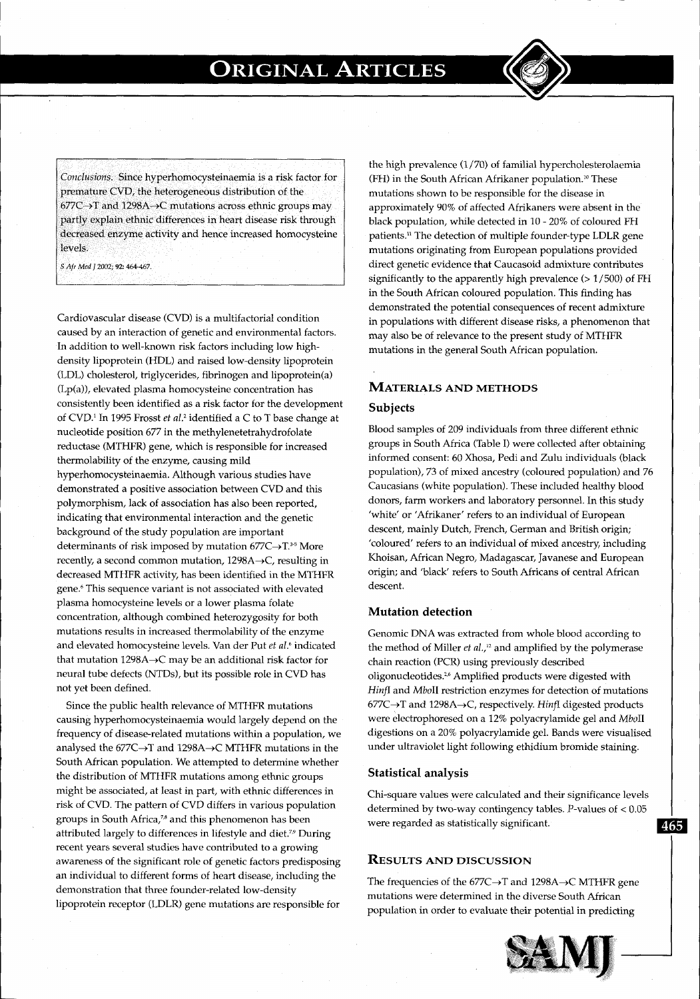*Conclusions.* Since hyperhomocysteinaemia is a risk factor for premature CVD, the heterogeneous distribution of the  $677C \rightarrow T$  and 1298A $\rightarrow$ C mutations across ethnic groups may partly explain ethnic differences in heart disease risk through decreased enzyme activity and hence increased homocysteine levels.

S *Afr Med* f 2002; 92: 464-467.

Cardiovascular disease (CVD) is a multifactorial condition caused by an interaction of genetic and environmental factors. In addition to well-known risk factors including low highdensity lipoprotein (HDL) and raised low-density lipoprotein (LDL) cholesterol, triglycerides, fibrinogen and lipoprotein(a) (Lp(a)), elevated plasma homocysteine concentration has consistently been identified as a risk factor for the development of CVD.1 In 1995 Frosst *et al.'* identified a C to T base change at nucleotide position 677 in the methylenetetrahydrofolate reductase (MTHFR) gene, which is responsible for increased thermolability of the enzyme, causing mild hyperhomocysteinaemia. Although various studies have demonstrated a positive association between CVD and this polymorphism, lack of association has also been reported, indicating that environmental interaction and the genetic background of the study population are important determinants of risk imposed by mutation  $677C \rightarrow T.^{35}$  More recently, a second common mutation,  $1298A \rightarrow C$ , resulting in decreased MTHFR activity, has been identified in the MTHFR gene.<sup>6</sup> This sequence variant is not associated with elevated plasma homocysteine levels or a lower plasma folate concentration, although combined heterozygosity for both mutations results in increased thermolability of the enzyme and elevated homocysteine levels. Van der Put *et al.'* indicated that mutation  $1298A \rightarrow C$  may be an additional risk factor for neural tube defects (NTDs), but its possible role in CVD has not yet been defined.

Since the public health relevance of MTHFR mutations causing hyperhomocysteinaemia would largely depend on the frequency of disease-related mutations within a population, we analysed the 677C $\rightarrow$ T and 1298A $\rightarrow$ C MTHFR mutations in the South African population. We attempted to determine whether the distribution of MTHFR mutations among ethnic groups might be associated, at least in part, with ethnic differences in risk of CVD. The pattern of CVD differs in various population groups in South Africa,<sup>78</sup> and this phenomenon has been attributed largely to differences in lifestyle and diet.<sup>79</sup> During recent years several studies have contributed to a growing awareness of the significant role of genetic factors predisposing an individual to different forms of heart disease, including the demonstration that three founder-related low-density lipoprotein receptor (LDLR) gene mutations are responsible for the high prevalence (1 /70) of familial hypercholesterolaemia (FH) in the South African Afrikaner population.<sup>10</sup> These mutations shown to be responsible for the disease in approximately 90% of affected Afrikaners were absent in the black population, while detected in 10 - 20% of coloured FH patients.11 The detection of multiple founder-type LDLR gene mutations originating from European populations provided direct genetic evidence that Caucasoid admixture contributes significantly to the apparently high prevalence (> 1/500) of FH in the South African coloured population. This finding has demonstrated the potential consequences of recent admixture in populations with different disease risks, a phenomenon that may also be of relevance to the present study of MTHFR mutations in the general South African population.

# **MATERIALS AND METHODS**

### **Subjects**

Blood samples of 209 individuals from three different ethnic groups in South Africa (Table I) were collected after obtaining informed consent: 60 Xhosa, Pedi and Zulu individuals (black population), 73 of mixed ancestry (coloured population) and 76 Caucasians (white population). These included healthy blood donors, farm workers and laboratory personnel. In this study 'white' or 'Afrikaner' refers to an individual of European descent, mainly Dutch, French, German and British origin; 'coloured' refers to an individual of mixed ancestry, including Khoisan, African Negro, Madagascar, Javanese and European origin; and 'black' refers to South Africans of central African descent.

## **Mutation detection**

Genomic DNA was extracted from whole blood according to the method of Miller *et al. <sup>1</sup> <sup>12</sup>*and amplified by the polymerase chain reaction (PCR) using previously described oligonucleotides.2 • 6 Amplified products were digested with *HinfI* and *Mboll* restriction enzymes for detection of mutations 677C-+T and 1298A~C, respectively. *Hinfi* digested products were electrophoresed on a 12% polyacrylamide gel and *Mboll*  digestions on a 20% polyacrylamide gel. Bands were visualised under ultraviolet light following ethidium bromide staining.

#### **Statistical analysis**

Chi-square values were calculated and their significance levels determined by two-way contingency tables. P-values of < 0.05 were regarded as statistically significant. **let let let let let let let let let let let let let let let let let let let let let let let let let let let let let let** 

## **RESULTS AND DISCUSSION**

The frequencies of the  $677C \rightarrow T$  and  $1298A \rightarrow C$  MTHFR gene mutations were determined in the diverse South African population in order to evaluate their potential in predicting

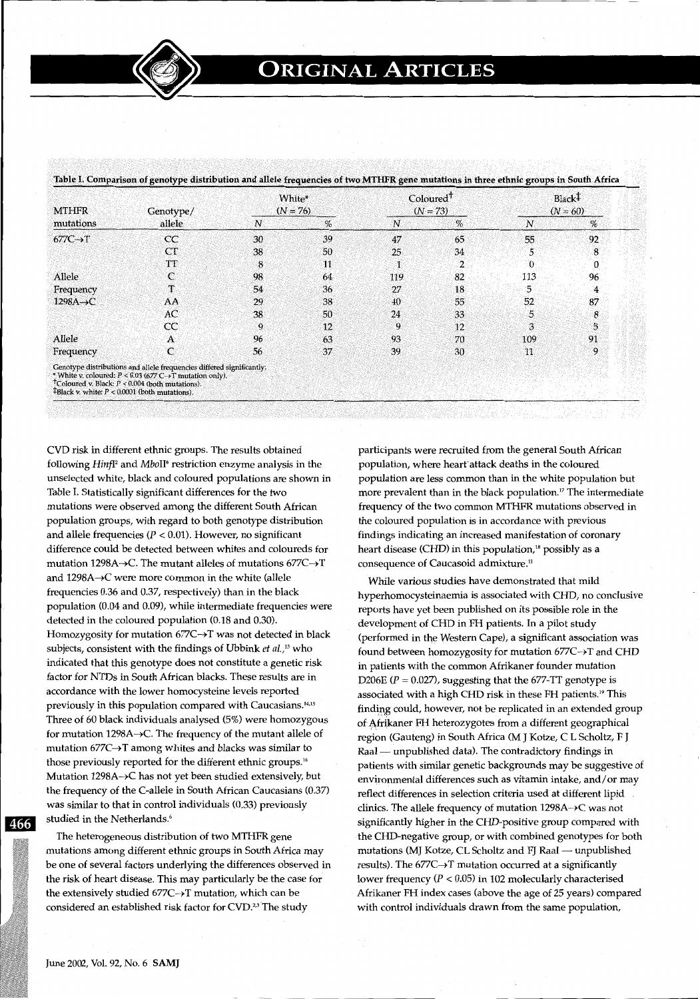| <b>MTHFR</b><br>mutations | Genotype/<br>allele                                                                                                                                                                                                                                                        | White*<br>$(N = 76)$ |      | Coloured <sup>†</sup><br>$(N = 73)$ |                | Black <sup>†</sup><br>$(N = 60)$ |     |
|---------------------------|----------------------------------------------------------------------------------------------------------------------------------------------------------------------------------------------------------------------------------------------------------------------------|----------------------|------|-------------------------------------|----------------|----------------------------------|-----|
|                           |                                                                                                                                                                                                                                                                            | $\boldsymbol{N}$     | $\%$ | N                                   | $\%$           | N                                | %   |
| $677C \rightarrow T$      | CC                                                                                                                                                                                                                                                                         | 30                   | 39   | 47                                  | 65             | 55                               | 92  |
|                           | CT                                                                                                                                                                                                                                                                         | 38                   | 50   | 25                                  | 34             | 5                                | 8   |
|                           | TT                                                                                                                                                                                                                                                                         | 8                    | 11   | $\mathbf{1}$                        | $\overline{2}$ | 0                                | 0   |
| Allele                    | C                                                                                                                                                                                                                                                                          | 98                   | 64   | 119                                 | 82             | 113                              | 96. |
| Frequency                 | т                                                                                                                                                                                                                                                                          | 54                   | 36   | 27                                  | 18             | 5                                | 4   |
| $1298A \rightarrow C$     | AA                                                                                                                                                                                                                                                                         | 29                   | 38   | 40                                  | 55             | 52                               | 87  |
|                           | AC                                                                                                                                                                                                                                                                         | 38                   | 50   | 24                                  | 33             | 5.                               | 8   |
|                           | CC                                                                                                                                                                                                                                                                         | 9                    | 12   | 9                                   | 12             | 3                                | 5   |
| Allele                    | $\mathbf{A}$                                                                                                                                                                                                                                                               | 96                   | 63   | 93                                  | 70             | 109                              | 91  |
| Frequency                 | C                                                                                                                                                                                                                                                                          | 56                   | 37   | 39                                  | 30             | 11                               | 9   |
|                           | Genotype distributions and allele frequencies differed significantly:<br>* White v. coloured: $P < 0.03$ (677 C $\rightarrow$ T mutation only).<br><sup>†</sup> Coloured v. Black: $P < 0.004$ (both mutations).<br><b>TBlack v.</b> white: $P < 0.0001$ (both mutations). |                      |      |                                     |                |                                  |     |

CVD risk in different ethnic groups. The results obtained following *Hinfl<sup>2</sup>* and *MboII<sup>6</sup>* restriction enzyme analysis in the unselected white, black and coloured populations are shown in Table I. Statistically significant differences for the two mutations were observed among the different South African population groups, with regard to both genotype distribution and allele frequencies ( $P < 0.01$ ). However, no significant difference could be detected between whites and coloureds for mutation 1298A $\rightarrow$ C. The mutant alleles of mutations 677C $\rightarrow$ T and  $1298A \rightarrow C$  were more common in the white (allele frequencies 0.36 and 0.37, respectively) than in the black population (0.04 and 0.09), while intermediate frequencies were detected in the coloured population (0.18 and 0.30). Homozygosity for mutation 677C->T was not detected in black subjects, consistent with the findings of Ubbink *et al.*,<sup>13</sup> who indicated that this genotype does not constitute a genetic risk factor for NTDs in South African blacks. These results are in accordance with the lower homocysteine levels reported previously in this population compared with Caucasians.<sup>14,15</sup> Three of 60 black individuals analysed (5%) were homozygous for mutation 1298A $\rightarrow$ C. The frequency of the mutant allele of mutation  $677C \rightarrow T$  among whites and blacks was similar to those previously reported for the different ethnic groups.<sup>1</sup> ' Mutation 1298A~C has not yet been studied extensively, but the frequency of the C-allele in South African Caucasians (0.37) was similar to that in control individuals (0.33) previously studied in the Netherlands.'

The heterogeneous distribution of two MTHFR gene mutations among different ethnic groups in South Africa may be one of several factors underlying the differences observed in the risk of heart disease. This may particularly be the case for the extensively studied  $677C \rightarrow T$  mutation, which can be considered an established risk factor for CVD.<sup>23</sup> The study

participants were recruited from the general South African population, where heart attack deaths in the coloured population are less common than in the white population but more prevalent than in the black population.<sup>17</sup> The intermediate frequency of the two common MTHFR mutations observed in the coloured population is in accordance with previous findings indicating an increased manifestation of coronary heart disease (CHD) in this population, $18$  possibly as a consequence of Caucasoid admixture.<sup>11</sup>

1965–1971–1986 – Paul Berlin, Frans fransk politiker (\* 1930)<br>1986 – John Sterlin, skrivatsk politiker (\* 1930)<br>1986 – Paul Berlin, skrivatsk politiker (\* 1930)

While various studies have demonstrated that mild hyperhomocysteinaemia is associated with CHD, no conclusive reports have yet been published on its possible role in the development of CHD in FH patients. In a pilot study (performed in the Western Cape), a significant association was found between homozygosity for mutation  $677C \rightarrow T$  and CHD in patients with the common Afrikaner founder mutation D206E ( $P = 0.027$ ), suggesting that the 677-TT genotype is associated with a high CHD risk in these FH patients.19 This finding could, however, not be replicated in an extended group of Afrikaner FH heterozygotes from a different geographical region (Gauteng) in South Africa (M J Kotze, CL Scholtz, F J Raal - unpublished data). The contradictory findings in patients with similar genetic backgrounds may be suggestive of environmental differences such as vitamin intake, and/or may reflect differences in selection criteria used at different lipid clinics. The allele frequency of mutation 1298A~C was not significantly higher in the CHD-positive group compared with the CHD-negative group, or with combined genotypes for both mutations (MJ Kotze, CL Scholtz and FJ Raal - unpublished results). The  $677C \rightarrow T$  mutation occurred at a significantly lower frequency ( $P < 0.05$ ) in 102 molecularly characterised Afrikaner FH index cases (above the age of 25 years) compared with control individuals drawn from the same population,

466